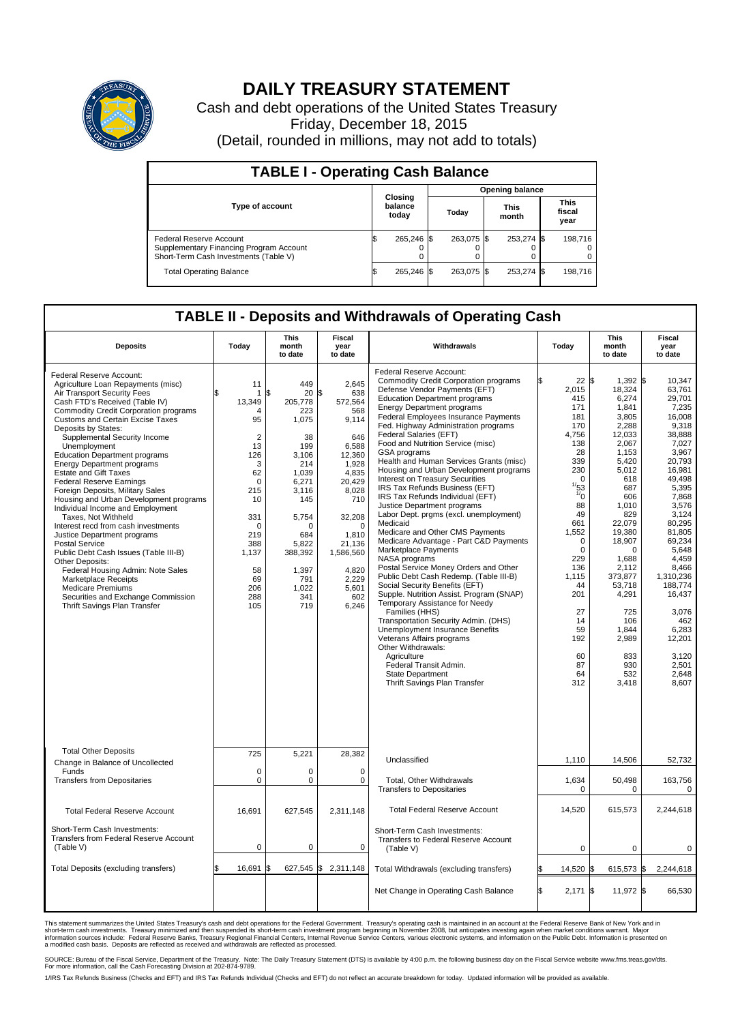

## **DAILY TREASURY STATEMENT**

Cash and debt operations of the United States Treasury Friday, December 18, 2015 (Detail, rounded in millions, may not add to totals)

| <b>TABLE I - Operating Cash Balance</b>                                                                            |  |                             |  |                        |  |                      |  |                               |  |
|--------------------------------------------------------------------------------------------------------------------|--|-----------------------------|--|------------------------|--|----------------------|--|-------------------------------|--|
|                                                                                                                    |  | Closing<br>balance<br>today |  | <b>Opening balance</b> |  |                      |  |                               |  |
| <b>Type of account</b>                                                                                             |  |                             |  | Today                  |  | <b>This</b><br>month |  | <b>This</b><br>fiscal<br>year |  |
| <b>Federal Reserve Account</b><br>Supplementary Financing Program Account<br>Short-Term Cash Investments (Table V) |  | 265,246 \$                  |  | 263.075 \$             |  | 253,274 \$           |  | 198.716                       |  |
| <b>Total Operating Balance</b>                                                                                     |  | 265,246 \$                  |  | 263.075 \$             |  | 253,274 \$           |  | 198,716                       |  |

## **TABLE II - Deposits and Withdrawals of Operating Cash**

| <b>Deposits</b>                                                                                                                                                                                                                                                                                                                                                                                                                                                                                                                                                                                                                                                                                                                                                                                                                                                                                                      | Today                                                                                                                                                                         | <b>This</b><br>month<br>to date                                                                                                                                                           | <b>Fiscal</b><br>year<br>to date                                                                                                                                                                                     | Withdrawals                                                                                                                                                                                                                                                                                                                                                                                                                                                                                                                                                                                                                                                                                                                                                                                                                                                                                                                                                                                                                                                                                                                                                                                                                  | Today                                                                                                                                                                                                                                                                       | <b>This</b><br>month<br>to date                                                                                                                                                                                                                                                                     | <b>Fiscal</b><br>year<br>to date                                                                                                                                                                                                                                                                                       |
|----------------------------------------------------------------------------------------------------------------------------------------------------------------------------------------------------------------------------------------------------------------------------------------------------------------------------------------------------------------------------------------------------------------------------------------------------------------------------------------------------------------------------------------------------------------------------------------------------------------------------------------------------------------------------------------------------------------------------------------------------------------------------------------------------------------------------------------------------------------------------------------------------------------------|-------------------------------------------------------------------------------------------------------------------------------------------------------------------------------|-------------------------------------------------------------------------------------------------------------------------------------------------------------------------------------------|----------------------------------------------------------------------------------------------------------------------------------------------------------------------------------------------------------------------|------------------------------------------------------------------------------------------------------------------------------------------------------------------------------------------------------------------------------------------------------------------------------------------------------------------------------------------------------------------------------------------------------------------------------------------------------------------------------------------------------------------------------------------------------------------------------------------------------------------------------------------------------------------------------------------------------------------------------------------------------------------------------------------------------------------------------------------------------------------------------------------------------------------------------------------------------------------------------------------------------------------------------------------------------------------------------------------------------------------------------------------------------------------------------------------------------------------------------|-----------------------------------------------------------------------------------------------------------------------------------------------------------------------------------------------------------------------------------------------------------------------------|-----------------------------------------------------------------------------------------------------------------------------------------------------------------------------------------------------------------------------------------------------------------------------------------------------|------------------------------------------------------------------------------------------------------------------------------------------------------------------------------------------------------------------------------------------------------------------------------------------------------------------------|
| Federal Reserve Account:<br>Agriculture Loan Repayments (misc)<br>Air Transport Security Fees<br>Cash FTD's Received (Table IV)<br><b>Commodity Credit Corporation programs</b><br>Customs and Certain Excise Taxes<br>Deposits by States:<br>Supplemental Security Income<br>Unemployment<br><b>Education Department programs</b><br><b>Energy Department programs</b><br><b>Estate and Gift Taxes</b><br><b>Federal Reserve Earnings</b><br>Foreign Deposits, Military Sales<br>Housing and Urban Development programs<br>Individual Income and Employment<br>Taxes, Not Withheld<br>Interest recd from cash investments<br>Justice Department programs<br><b>Postal Service</b><br>Public Debt Cash Issues (Table III-B)<br>Other Deposits:<br>Federal Housing Admin: Note Sales<br><b>Marketplace Receipts</b><br><b>Medicare Premiums</b><br>Securities and Exchange Commission<br>Thrift Savings Plan Transfer | 11<br>1<br>13,349<br>Δ<br>95<br>$\overline{2}$<br>13<br>126<br>3<br>62<br>$\mathbf 0$<br>215<br>10<br>331<br>$\Omega$<br>219<br>388<br>1,137<br>58<br>69<br>206<br>288<br>105 | 449<br>20<br>\$<br>205,778<br>223<br>1,075<br>38<br>199<br>3,106<br>214<br>1.039<br>6,271<br>3,116<br>145<br>5,754<br>∩<br>684<br>5,822<br>388,392<br>1,397<br>791<br>1,022<br>341<br>719 | 2,645<br>\$<br>638<br>572,564<br>568<br>9,114<br>646<br>6,588<br>12,360<br>1,928<br>4,835<br>20,429<br>8,028<br>710<br>32,208<br>$\Omega$<br>1,810<br>21,136<br>1,586,560<br>4,820<br>2,229<br>5,601<br>602<br>6,246 | Federal Reserve Account:<br><b>Commodity Credit Corporation programs</b><br>Defense Vendor Payments (EFT)<br><b>Education Department programs</b><br><b>Energy Department programs</b><br><b>Federal Employees Insurance Payments</b><br>Fed. Highway Administration programs<br>Federal Salaries (EFT)<br>Food and Nutrition Service (misc)<br>GSA programs<br>Health and Human Services Grants (misc)<br>Housing and Urban Development programs<br>Interest on Treasury Securities<br>IRS Tax Refunds Business (EFT)<br>IRS Tax Refunds Individual (EFT)<br>Justice Department programs<br>Labor Dept. prgms (excl. unemployment)<br>Medicaid<br>Medicare and Other CMS Payments<br>Medicare Advantage - Part C&D Payments<br>Marketplace Payments<br>NASA programs<br>Postal Service Money Orders and Other<br>Public Debt Cash Redemp. (Table III-B)<br>Social Security Benefits (EFT)<br>Supple. Nutrition Assist. Program (SNAP)<br>Temporary Assistance for Needy<br>Families (HHS)<br>Transportation Security Admin. (DHS)<br>Unemployment Insurance Benefits<br>Veterans Affairs programs<br>Other Withdrawals:<br>Agriculture<br>Federal Transit Admin.<br><b>State Department</b><br>Thrift Savings Plan Transfer | 22S<br>2,015<br>415<br>171<br>181<br>170<br>4,756<br>138<br>28<br>339<br>230<br>$\Omega$<br>$\frac{1}{53}$<br>$\frac{1}{0}$<br>88<br>49<br>661<br>1,552<br>$\mathbf 0$<br>$\mathbf 0$<br>229<br>136<br>1,115<br>44<br>201<br>27<br>14<br>59<br>192<br>60<br>87<br>64<br>312 | $1,392$ \$<br>18,324<br>6,274<br>1,841<br>3.805<br>2,288<br>12,033<br>2,067<br>1.153<br>5,420<br>5,012<br>618<br>687<br>606<br>1,010<br>829<br>22,079<br>19,380<br>18,907<br>$\Omega$<br>1,688<br>2,112<br>373,877<br>53,718<br>4,291<br>725<br>106<br>1,844<br>2,989<br>833<br>930<br>532<br>3,418 | 10.347<br>63,761<br>29,701<br>7,235<br>16.008<br>9,318<br>38.888<br>7,027<br>3.967<br>20,793<br>16,981<br>49.498<br>5,395<br>7,868<br>3,576<br>3.124<br>80,295<br>81,805<br>69.234<br>5,648<br>4.459<br>8,466<br>1,310,236<br>188,774<br>16,437<br>3,076<br>462<br>6,283<br>12,201<br>3.120<br>2,501<br>2,648<br>8,607 |
| <b>Total Other Deposits</b><br>Change in Balance of Uncollected                                                                                                                                                                                                                                                                                                                                                                                                                                                                                                                                                                                                                                                                                                                                                                                                                                                      | 725                                                                                                                                                                           | 5,221                                                                                                                                                                                     | 28,382                                                                                                                                                                                                               | Unclassified                                                                                                                                                                                                                                                                                                                                                                                                                                                                                                                                                                                                                                                                                                                                                                                                                                                                                                                                                                                                                                                                                                                                                                                                                 | 1,110                                                                                                                                                                                                                                                                       | 14,506                                                                                                                                                                                                                                                                                              | 52,732                                                                                                                                                                                                                                                                                                                 |
| Funds<br><b>Transfers from Depositaries</b>                                                                                                                                                                                                                                                                                                                                                                                                                                                                                                                                                                                                                                                                                                                                                                                                                                                                          | $\mathbf 0$<br>$\pmb{0}$                                                                                                                                                      | 0<br>0                                                                                                                                                                                    | 0<br>$\mathbf 0$                                                                                                                                                                                                     | Total, Other Withdrawals<br><b>Transfers to Depositaries</b>                                                                                                                                                                                                                                                                                                                                                                                                                                                                                                                                                                                                                                                                                                                                                                                                                                                                                                                                                                                                                                                                                                                                                                 | 1,634<br>0                                                                                                                                                                                                                                                                  | 50,498<br>$\Omega$                                                                                                                                                                                                                                                                                  | 163,756<br>0                                                                                                                                                                                                                                                                                                           |
| <b>Total Federal Reserve Account</b>                                                                                                                                                                                                                                                                                                                                                                                                                                                                                                                                                                                                                                                                                                                                                                                                                                                                                 | 16,691                                                                                                                                                                        | 627,545                                                                                                                                                                                   | 2,311,148                                                                                                                                                                                                            | <b>Total Federal Reserve Account</b>                                                                                                                                                                                                                                                                                                                                                                                                                                                                                                                                                                                                                                                                                                                                                                                                                                                                                                                                                                                                                                                                                                                                                                                         | 14,520                                                                                                                                                                                                                                                                      | 615,573                                                                                                                                                                                                                                                                                             | 2.244.618                                                                                                                                                                                                                                                                                                              |
| Short-Term Cash Investments:<br>Transfers from Federal Reserve Account<br>(Table V)                                                                                                                                                                                                                                                                                                                                                                                                                                                                                                                                                                                                                                                                                                                                                                                                                                  | $\pmb{0}$                                                                                                                                                                     | 0                                                                                                                                                                                         | 0                                                                                                                                                                                                                    | Short-Term Cash Investments:<br>Transfers to Federal Reserve Account<br>(Table V)                                                                                                                                                                                                                                                                                                                                                                                                                                                                                                                                                                                                                                                                                                                                                                                                                                                                                                                                                                                                                                                                                                                                            | $\mathbf 0$                                                                                                                                                                                                                                                                 | 0                                                                                                                                                                                                                                                                                                   | 0                                                                                                                                                                                                                                                                                                                      |
| Total Deposits (excluding transfers)                                                                                                                                                                                                                                                                                                                                                                                                                                                                                                                                                                                                                                                                                                                                                                                                                                                                                 | 16,691<br>\$                                                                                                                                                                  | \$                                                                                                                                                                                        | 627,545 \$2,311,148                                                                                                                                                                                                  | Total Withdrawals (excluding transfers)                                                                                                                                                                                                                                                                                                                                                                                                                                                                                                                                                                                                                                                                                                                                                                                                                                                                                                                                                                                                                                                                                                                                                                                      | 14,520 \$                                                                                                                                                                                                                                                                   | 615,573 \$                                                                                                                                                                                                                                                                                          | 2,244,618                                                                                                                                                                                                                                                                                                              |
|                                                                                                                                                                                                                                                                                                                                                                                                                                                                                                                                                                                                                                                                                                                                                                                                                                                                                                                      |                                                                                                                                                                               |                                                                                                                                                                                           |                                                                                                                                                                                                                      | Net Change in Operating Cash Balance                                                                                                                                                                                                                                                                                                                                                                                                                                                                                                                                                                                                                                                                                                                                                                                                                                                                                                                                                                                                                                                                                                                                                                                         | Ŝ.<br>$2,171$ \$                                                                                                                                                                                                                                                            | 11,972 \$                                                                                                                                                                                                                                                                                           | 66,530                                                                                                                                                                                                                                                                                                                 |

This statement summarizes the United States Treasury's cash and debt operations for the Federal Government. Treasury's operating cash is maintained in an account at the Federal Reserve Bank of New York and in<br>short-term ca

SOURCE: Bureau of the Fiscal Service, Department of the Treasury. Note: The Daily Treasury Statement (DTS) is available by 4:00 p.m. the following business day on the Fiscal Service website www.fms.treas.gov/dts.<br>For more

1/IRS Tax Refunds Business (Checks and EFT) and IRS Tax Refunds Individual (Checks and EFT) do not reflect an accurate breakdown for today. Updated information will be provided as available.